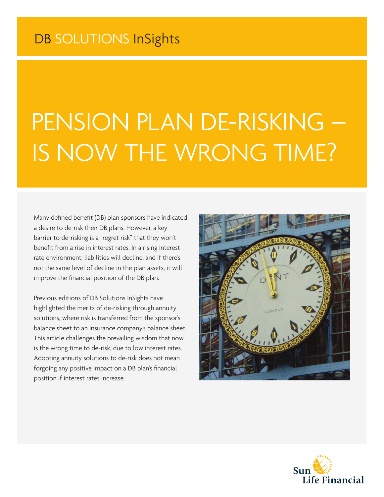# PENSION PLAN DE-RISKING – IS NOW THE WRONG TIME?

Many defined benefit (DB) plan sponsors have indicated a desire to de-risk their DB plans. However, a key barrier to de-risking is a "regret risk" that they won't benefit from a rise in interest rates. In a rising interest rate environment, liabilities will decline, and if there's not the same level of decline in the plan assets, it will improve the financial position of the DB plan.

Previous editions of DB Solutions InSights have highlighted the merits of de-risking through annuity solutions, where risk is transferred from the sponsor's balance sheet to an insurance company's balance sheet. This article challenges the prevailing wisdom that now is the wrong time to de-risk, due to low interest rates. Adopting annuity solutions to de-risk does not mean forgoing any positive impact on a DB plan's financial position if interest rates increase.



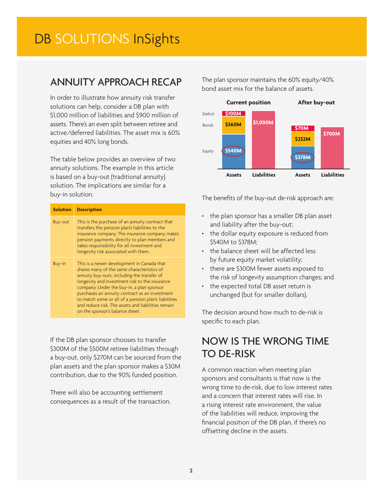## DB SOLUTIONS InSights

### ANNUITY APPROACH RECAP

In order to illustrate how annuity risk transfer solutions can help, consider a DB plan with \$1,000 million of liabilities and \$900 million of assets. There's an even split between retiree and active/deferred liabilities. The asset mix is 60% equities and 40% long bonds.

The table below provides an overview of two annuity solutions. The example in this article is based on a buy-out (traditional annuity) solution. The implications are similar for a buy-in solution.

| <b>Solution</b> | <b>Description</b>                                                                                                                                                                                                                                                                                                                                                                                                                        |
|-----------------|-------------------------------------------------------------------------------------------------------------------------------------------------------------------------------------------------------------------------------------------------------------------------------------------------------------------------------------------------------------------------------------------------------------------------------------------|
| <b>Buy-out</b>  | This is the purchase of an annuity contract that<br>transfers the pension plan's liabilities to the<br>insurance company. The insurance company makes<br>pension payments directly to plan members and<br>takes responsibility for all investment and<br>longevity risk associated with them.                                                                                                                                             |
| Buy-in          | This is a newer development in Canada that<br>shares many of the same characteristics of<br>annuity buy-outs, including the transfer of<br>longevity and investment risk to the insurance<br>company. Under the buy-in, a plan sponsor<br>purchases an annuity contract as an investment<br>to match some or all of a pension plan's liabilities<br>and reduce risk. The assets and liabilities remain<br>on the sponsor's balance sheet. |

If the DB plan sponsor chooses to transfer \$300M of the \$500M retiree liabilities through a buy-out, only \$270M can be sourced from the plan assets and the plan sponsor makes a \$30M contribution, due to the 90% funded position.

There will also be accounting settlement consequences as a result of the transaction. The plan sponsor maintains the 60% equity/40% bond asset mix for the balance of assets.



The benefits of the buy-out de-risk approach are:

- the plan sponsor has a smaller DB plan asset and liability after the buy-out;
- the dollar equity exposure is reduced from \$540M to \$378M;
- the balance sheet will be affected less by future equity market volatility;
- there are \$300M fewer assets exposed to the risk of longevity assumption changes; and
- the expected total DB asset return is unchanged (but for smaller dollars).

The decision around how much to de-risk is specific to each plan.

## NOW IS THE WRONG TIME TO DE-RISK

A common reaction when meeting plan sponsors and consultants is that now is the wrong time to de-risk, due to low interest rates and a concern that interest rates will rise. In a rising interest rate environment, the value of the liabilities will reduce, improving the financial position of the DB plan, if there's no offsetting decline in the assets.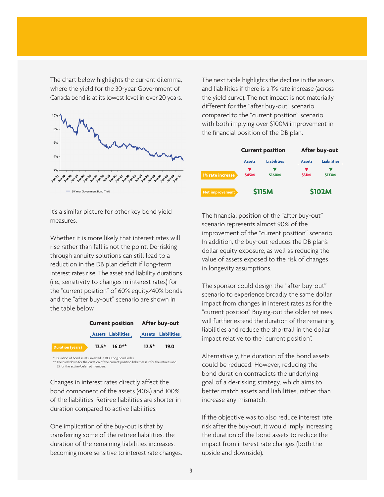The chart below highlights the current dilemma, where the yield for the 30-year Government of Canada bond is at its lowest level in over 20 years.



It's a similar picture for other key bond yield measures.

Whether it is more likely that interest rates will rise rather than fall is not the point. De-risking through annuity solutions can still lead to a reduction in the DB plan deficit if long-term interest rates rise. The asset and liability durations (i.e., sensitivity to changes in interest rates) for the "current position" of 60% equity/40% bonds and the "after buy-out" scenario are shown in the table below.



\*\* The breakdown for the duration of the current position liabilities is 9 for the retirees and 23 for the active/deferred members.

Changes in interest rates directly affect the bond component of the assets (40%) and 100% of the liabilities. Retiree liabilities are shorter in duration compared to active liabilities.

One implication of the buy-out is that by transferring some of the retiree liabilities, the duration of the remaining liabilities increases, becoming more sensitive to interest rate changes. The next table highlights the decline in the assets and liabilities if there is a 1% rate increase (across the yield curve). The net impact is not materially different for the "after buy-out" scenario compared to the "current position" scenario with both implying over \$100M improvement in the financial position of the DB plan.



The financial position of the "after buy-out" scenario represents almost 90% of the improvement of the "current position" scenario. In addition, the buy-out reduces the DB plan's dollar equity exposure, as well as reducing the value of assets exposed to the risk of changes in longevity assumptions.

The sponsor could design the "after buy-out" scenario to experience broadly the same dollar impact from changes in interest rates as for the "current position". Buying-out the older retirees will further extend the duration of the remaining liabilities and reduce the shortfall in the dollar impact relative to the "current position".

Alternatively, the duration of the bond assets could be reduced. However, reducing the bond duration contradicts the underlying goal of a de-risking strategy, which aims to better match assets and liabilities, rather than increase any mismatch.

If the objective was to also reduce interest rate risk after the buy-out, it would imply increasing the duration of the bond assets to reduce the impact from interest rate changes (both the upside and downside).